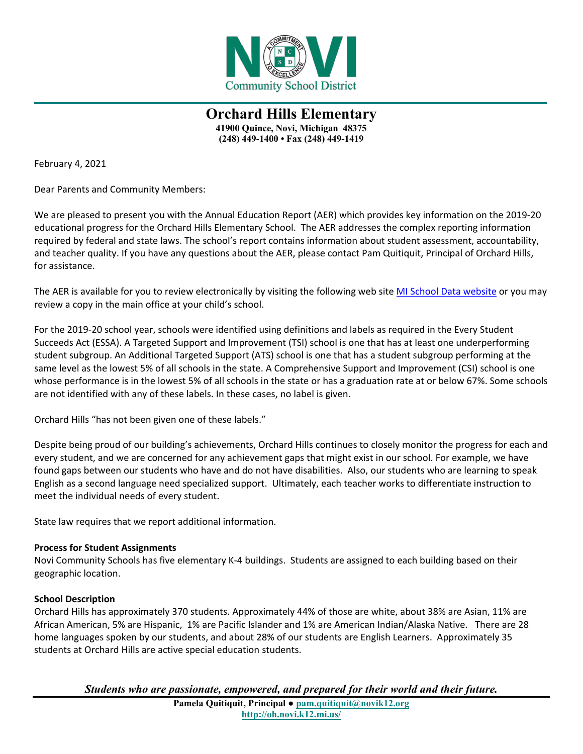

**Orchard Hills Elementary 41900 Quince, Novi, Michigan 48375 (248) 449-1400 • Fax (248) 449-1419**

February 4, 2021

Dear Parents and Community Members:

We are pleased to present you with the Annual Education Report (AER) which provides key information on the 2019-20 educational progress for the Orchard Hills Elementary School. The AER addresses the complex reporting information required by federal and state laws. The school's report contains information about student assessment, accountability, and teacher quality. If you have any questions about the AER, please contact Pam Quitiquit, Principal of Orchard Hills, for assistance.

The AER is available for you to review electronically by visiting the following web site [MI School Data website](http://bit.ly/2W15BaO) or you may review a copy in the main office at your child's school.

For the 2019-20 school year, schools were identified using definitions and labels as required in the Every Student Succeeds Act (ESSA). A Targeted Support and Improvement (TSI) school is one that has at least one underperforming student subgroup. An Additional Targeted Support (ATS) school is one that has a student subgroup performing at the same level as the lowest 5% of all schools in the state. A Comprehensive Support and Improvement (CSI) school is one whose performance is in the lowest 5% of all schools in the state or has a graduation rate at or below 67%. Some schools are not identified with any of these labels. In these cases, no label is given.

Orchard Hills "has not been given one of these labels."

Despite being proud of our building's achievements, Orchard Hills continues to closely monitor the progress for each and every student, and we are concerned for any achievement gaps that might exist in our school. For example, we have found gaps between our students who have and do not have disabilities. Also, our students who are learning to speak English as a second language need specialized support. Ultimately, each teacher works to differentiate instruction to meet the individual needs of every student.

State law requires that we report additional information.

### **Process for Student Assignments**

Novi Community Schools has five elementary K-4 buildings. Students are assigned to each building based on their geographic location.

### **School Description**

Orchard Hills has approximately 370 students. Approximately 44% of those are white, about 38% are Asian, 11% are African American, 5% are Hispanic, 1% are Pacific Islander and 1% are American Indian/Alaska Native. There are 28 home languages spoken by our students, and about 28% of our students are English Learners. Approximately 35 students at Orchard Hills are active special education students.

*Students who are passionate, empowered, and prepared for their world and their future.*

**Pamela Quitiquit, Principal ● [pam.quitiquit@novik12.org](mailto:pam.quitiquit@novik12.org) http://oh.novi.k12.mi.us/**